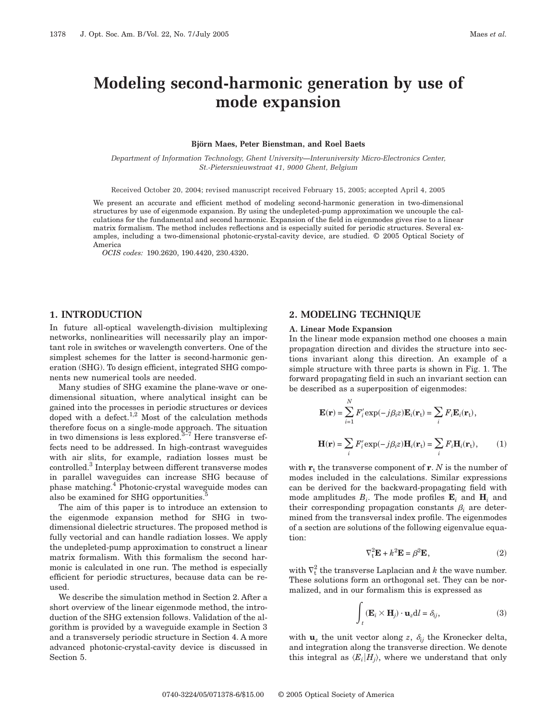# **Modeling second-harmonic generation by use of mode expansion**

#### **Björn Maes, Peter Bienstman, and Roel Baets**

*Department of Information Technology, Ghent University—Interuniversity Micro-Electronics Center, St.-Pietersnieuwstraat 41, 9000 Ghent, Belgium*

Received October 20, 2004; revised manuscript received February 15, 2005; accepted April 4, 2005

We present an accurate and efficient method of modeling second-harmonic generation in two-dimensional structures by use of eigenmode expansion. By using the undepleted-pump approximation we uncouple the calculations for the fundamental and second harmonic. Expansion of the field in eigenmodes gives rise to a linear matrix formalism. The method includes reflections and is especially suited for periodic structures. Several examples, including a two-dimensional photonic-crystal-cavity device, are studied. © 2005 Optical Society of America

*OCIS codes:* 190.2620, 190.4420, 230.4320.

# **1. INTRODUCTION**

In future all-optical wavelength-division multiplexing networks, nonlinearities will necessarily play an important role in switches or wavelength converters. One of the simplest schemes for the latter is second-harmonic generation (SHG). To design efficient, integrated SHG components new numerical tools are needed.

Many studies of SHG examine the plane-wave or onedimensional situation, where analytical insight can be gained into the processes in periodic structures or devices doped with a defect.<sup>1,2</sup> Most of the calculation methods therefore focus on a single-mode approach. The situation in two dimensions is less explored. $3\frac{1}{2}7$  Here transverse effects need to be addressed. In high-contrast waveguides with air slits, for example, radiation losses must be controlled.<sup>3</sup> Interplay between different transverse modes in parallel waveguides can increase SHG because of phase matching.4 Photonic-crystal waveguide modes can also be examined for SHG opportunities.

The aim of this paper is to introduce an extension to the eigenmode expansion method for SHG in twodimensional dielectric structures. The proposed method is fully vectorial and can handle radiation losses. We apply the undepleted-pump approximation to construct a linear matrix formalism. With this formalism the second harmonic is calculated in one run. The method is especially efficient for periodic structures, because data can be reused.

We describe the simulation method in Section 2. After a short overview of the linear eigenmode method, the introduction of the SHG extension follows. Validation of the algorithm is provided by a waveguide example in Section 3 and a transversely periodic structure in Section 4. A more advanced photonic-crystal-cavity device is discussed in Section 5.

# **2. MODELING TECHNIQUE**

### **A. Linear Mode Expansion**

In the linear mode expansion method one chooses a main propagation direction and divides the structure into sections invariant along this direction. An example of a simple structure with three parts is shown in Fig. 1. The forward propagating field in such an invariant section can be described as a superposition of eigenmodes:

$$
\mathbf{E}(\mathbf{r}) = \sum_{i=1}^{N} F'_i \exp(-j\beta_i z) \mathbf{E}_i(\mathbf{r}_t) = \sum_i F_i \mathbf{E}_i(\mathbf{r}_t),
$$
  

$$
\mathbf{H}(\mathbf{r}) = \sum_i F'_i \exp(-j\beta_i z) \mathbf{H}_i(\mathbf{r}_t) = \sum_i F_i \mathbf{H}_i(\mathbf{r}_t),
$$
 (1)

with  $\mathbf{r}_t$  the transverse component of  $\mathbf{r}$ . *N* is the number of modes included in the calculations. Similar expressions can be derived for the backward-propagating field with mode amplitudes  $B_i$ . The mode profiles  $\mathbf{E}_i$  and  $\mathbf{H}_i$  and their corresponding propagation constants  $\beta_i$  are determined from the transversal index profile. The eigenmodes of a section are solutions of the following eigenvalue equation:

$$
\nabla_{t}^{2} \mathbf{E} + k^{2} \mathbf{E} = \beta^{2} \mathbf{E}, \qquad (2)
$$

with  $\nabla_t^2$  the transverse Laplacian and  $k$  the wave number. These solutions form an orthogonal set. They can be normalized, and in our formalism this is expressed as

$$
\int_{t} (\mathbf{E}_{i} \times \mathbf{H}_{j}) \cdot \mathbf{u}_{z} dl = \delta_{ij},
$$
\n(3)

with  $\mathbf{u}_z$  the unit vector along *z*,  $\delta_{ij}$  the Kronecker delta, and integration along the transverse direction. We denote this integral as  $\langle E_i|H_i\rangle$ , where we understand that only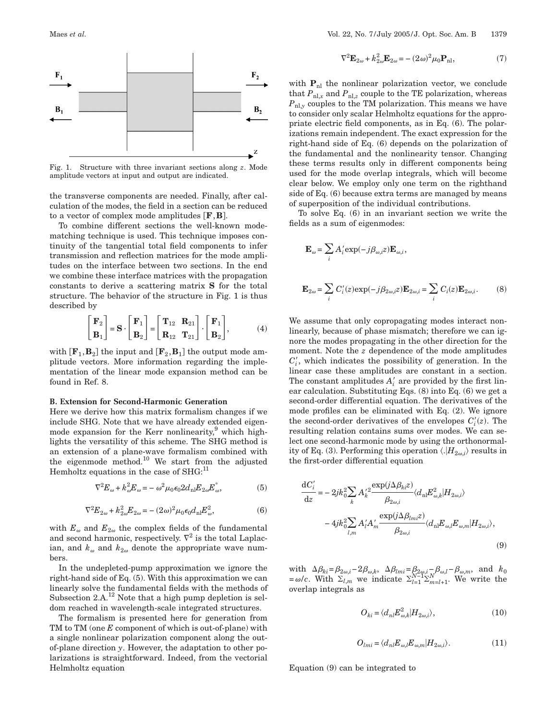

Fig. 1. Structure with three invariant sections along *z*. Mode amplitude vectors at input and output are indicated.

the transverse components are needed. Finally, after calculation of the modes, the field in a section can be reduced to a vector of complex mode amplitudes  $[F, B]$ .

To combine different sections the well-known modematching technique is used. This technique imposes continuity of the tangential total field components to infer transmission and reflection matrices for the mode amplitudes on the interface between two sections. In the end we combine these interface matrices with the propagation constants to derive a scattering matrix **S** for the total structure. The behavior of the structure in Fig. 1 is thus described by

$$
\begin{bmatrix} \mathbf{F}_2 \\ \mathbf{B}_1 \end{bmatrix} = \mathbf{S} \cdot \begin{bmatrix} \mathbf{F}_1 \\ \mathbf{B}_2 \end{bmatrix} = \begin{bmatrix} \mathbf{T}_{12} & \mathbf{R}_{21} \\ \mathbf{R}_{12} & \mathbf{T}_{21} \end{bmatrix} \cdot \begin{bmatrix} \mathbf{F}_1 \\ \mathbf{B}_2 \end{bmatrix},
$$
 (4)

with  $\left[\mathbf{F}_{1}, \mathbf{B}_{2}\right]$  the input and  $\left[\mathbf{F}_{2}, \mathbf{B}_{1}\right]$  the output mode amplitude vectors. More information regarding the implementation of the linear mode expansion method can be found in Ref. 8.

#### **B. Extension for Second-Harmonic Generation**

Here we derive how this matrix formalism changes if we include SHG. Note that we have already extended eigenmode expansion for the Kerr nonlinearity,<sup>9</sup> which highlights the versatility of this scheme. The SHG method is an extension of a plane-wave formalism combined with the eigenmode method.10 We start from the adjusted Hemholtz equations in the case of  $SHG$ <sup>11</sup>

$$
\nabla^2 E_\omega + k_\omega^2 E_\omega = -\omega^2 \mu_0 \epsilon_0 2 d_{\rm nl} E_{2\omega} E_\omega^*,\tag{5}
$$

$$
\nabla^2 E_{2\omega} + k_{2\omega}^2 E_{2\omega} = -(2\omega)^2 \mu_0 \epsilon_0 d_{\rm nl} E_{\omega}^2, \tag{6}
$$

with  $E_{\omega}$  and  $E_{2\omega}$  the complex fields of the fundamental and second harmonic, respectively.  $\nabla^2$  is the total Laplacian, and  $k_{\omega}$  and  $k_{2\omega}$  denote the appropriate wave numbers.

In the undepleted-pump approximation we ignore the right-hand side of Eq. (5). With this approximation we can linearly solve the fundamental fields with the methods of Subsection 2.A.<sup>12</sup> Note that a high pump depletion is seldom reached in wavelength-scale integrated structures.

The formalism is presented here for generation from TM to TM (one *E* component of which is out-of-plane) with a single nonlinear polarization component along the outof-plane direction *y*. However, the adaptation to other polarizations is straightforward. Indeed, from the vectorial Helmholtz equation

$$
\nabla^2 \mathbf{E}_{2\omega} + k_{2\omega}^2 \mathbf{E}_{2\omega} = -(2\omega)^2 \mu_0 \mathbf{P}_{\text{nl}},\tag{7}
$$

with  $P_{nl}$  the nonlinear polarization vector, we conclude that  $P_{\text{nl},x}$  and  $P_{\text{nl},z}$  couple to the TE polarization, whereas  $P_{\text{nl},y}$  couples to the TM polarization. This means we have to consider only scalar Helmholtz equations for the appropriate electric field components, as in Eq. (6). The polarizations remain independent. The exact expression for the right-hand side of Eq. (6) depends on the polarization of the fundamental and the nonlinearity tensor. Changing these terms results only in different components being used for the mode overlap integrals, which will become clear below. We employ only one term on the righthand side of Eq. (6) because extra terms are managed by means of superposition of the individual contributions.

To solve Eq. (6) in an invariant section we write the fields as a sum of eigenmodes:

$$
\mathbf{E}_{\omega} = \sum_{i} A'_{i} \exp(-j\beta_{\omega,i} z) \mathbf{E}_{\omega,i},
$$
  

$$
\mathbf{E}_{2\omega} = \sum_{i} C'_{i}(z) \exp(-j\beta_{2\omega,i} z) \mathbf{E}_{2\omega,i} = \sum_{i} C_{i}(z) \mathbf{E}_{2\omega,i}.
$$
 (8)

We assume that only copropagating modes interact nonlinearly, because of phase mismatch; therefore we can ignore the modes propagating in the other direction for the moment. Note the *z* dependence of the mode amplitudes  $C_i'$ , which indicates the possibility of generation. In the linear case these amplitudes are constant in a section. The constant amplitudes  $A_i'$  are provided by the first linear calculation. Substituting Eqs. (8) into Eq. (6) we get a second-order differential equation. The derivatives of the mode profiles can be eliminated with Eq. (2). We ignore the second-order derivatives of the envelopes  $C_i'(z)$ . The resulting relation contains sums over modes. We can select one second-harmonic mode by using the orthonormality of Eq. (3). Performing this operation  $\langle H_{2\omega,i} \rangle$  results in the first-order differential equation

$$
\frac{dC_i'}{dz} = -2jk_0^2 \sum_k A_i'^2 \frac{\exp(j\Delta\beta_{ki}z)}{\beta_{2\omega,i}} \langle d_{\rm nl}E_{\omega,k}^2 | H_{2\omega,i} \rangle - 4jk_0^2 \sum_{l,m} A_i' A_m' \frac{\exp(j\Delta\beta_{lm}z)}{\beta_{2\omega,i}} \langle d_{\rm nl}E_{\omega,l}E_{\omega,m} | H_{2\omega,i} \rangle,
$$
\n(9)

with  $\Delta \beta_{ki} = \beta_{2\omega,i} - 2\beta_{\omega,k}$ ,  $\Delta \beta_{lmi} = \beta_{2\omega,i} - \beta_{\omega,l} - \beta_{\omega,m}$ , and *k*<sub>0</sub>  $=\omega/c$ . With  $\Sigma_{l,m}$  we indicate  $\Sigma_{l=1}^{N-1}\Sigma_{m=l+1}^{N}$ . We write the overlap integrals as

$$
O_{ki} = \langle d_{nl} E_{\omega, k}^2 | H_{2\omega, i} \rangle,\tag{10}
$$

$$
O_{lmi} = \langle d_{nl} E_{\omega,l} E_{\omega,m} | H_{2\omega,l} \rangle.
$$
 (11)

Equation (9) can be integrated to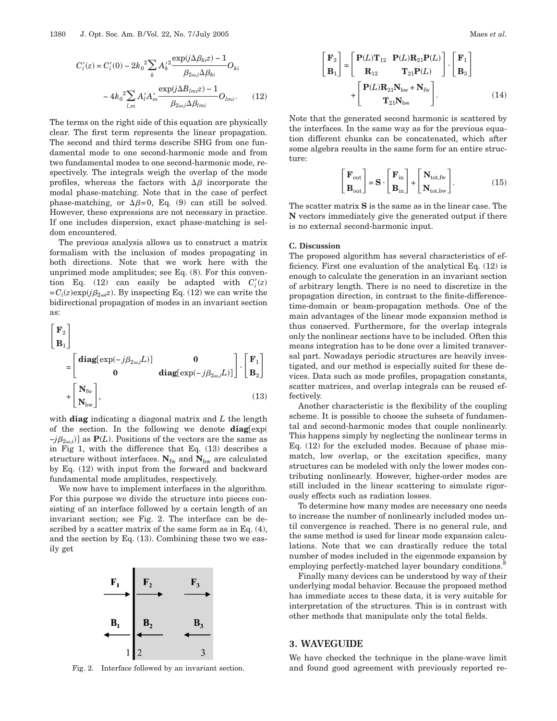$$
C'_{i}(z) = C'_{i}(0) - 2k_0^2 \sum_{k} A'^2_{k} \frac{\exp(j\Delta\beta_{ki}z) - 1}{\beta_{2\omega,i}\Delta\beta_{ki}} O_{ki}
$$

$$
- 4k_0^2 \sum_{l,m} A'_{l} A'_{m} \frac{\exp(j\Delta B_{lmi}z) - 1}{\beta_{2\omega,i}\Delta\beta_{lmi}} O_{lmi}.
$$
 (12)

The terms on the right side of this equation are physically clear. The first term represents the linear propagation. The second and third terms describe SHG from one fundamental mode to one second-harmonic mode and from two fundamental modes to one second-harmonic mode, respectively. The integrals weigh the overlap of the mode profiles, whereas the factors with  $\Delta\beta$  incorporate the modal phase-matching. Note that in the case of perfect phase-matching, or  $\Delta\beta=0$ , Eq. (9) can still be solved. However, these expressions are not necessary in practice. If one includes dispersion, exact phase-matching is seldom encountered.

The previous analysis allows us to construct a matrix formalism with the inclusion of modes propagating in both directions. Note that we work here with the unprimed mode amplitudes; see Eq. (8). For this convention Eq.  $(12)$  can easily be adapted with  $C_i'(z)$  $=C_i(z) \exp(j\beta_{2\omega i}z)$ . By inspecting Eq. (12) we can write the bidirectional propagation of modes in an invariant section as:

$$
\begin{bmatrix} \mathbf{F}_2 \\ \mathbf{B}_1 \end{bmatrix}
$$
  
= 
$$
\begin{bmatrix} \mathbf{diag}[\exp(-j\beta_{2\omega,i}L)] & \mathbf{0} \\ \mathbf{0} & \mathbf{diag}[\exp(-j\beta_{2\omega,i}L)] \end{bmatrix} \cdot \begin{bmatrix} \mathbf{F}_1 \\ \mathbf{B}_2 \end{bmatrix}
$$
  
+ 
$$
\begin{bmatrix} \mathbf{N}_{\text{fw}} \\ \mathbf{N}_{\text{bw}} \end{bmatrix},
$$
(13)

with **diag** indicating a diagonal matrix and *L* the length of the section. In the following we denote  $diag(exp($  $-j\beta_{2\omega,i}$ ] as **P**(*L*). Positions of the vectors are the same as in Fig 1, with the difference that Eq. (13) describes a structure without interfaces.  $N_{fw}$  and  $N_{bw}$  are calculated by Eq. (12) with input from the forward and backward fundamental mode amplitudes, respectively.

We now have to implement interfaces in the algorithm. For this purpose we divide the structure into pieces consisting of an interface followed by a certain length of an invariant section; see Fig. 2. The interface can be described by a scatter matrix of the same form as in Eq. (4), and the section by Eq. (13). Combining these two we easily get



$$
\begin{bmatrix} \mathbf{F}_3 \\ \mathbf{B}_1 \end{bmatrix} = \begin{bmatrix} \mathbf{P}(L)\mathbf{T}_{12} & \mathbf{P}(L)\mathbf{R}_{21}\mathbf{P}(L) \\ \mathbf{R}_{12} & \mathbf{T}_{21}\mathbf{P}(L) \end{bmatrix} \cdot \begin{bmatrix} \mathbf{F}_1 \\ \mathbf{B}_3 \end{bmatrix} + \begin{bmatrix} \mathbf{P}(L)\mathbf{R}_{21}\mathbf{N}_{bw} + \mathbf{N}_{fw} \\ \mathbf{T}_{21}\mathbf{N}_{bw} \end{bmatrix} .
$$
 (14)

Note that the generated second harmonic is scattered by the interfaces. In the same way as for the previous equation different chunks can be concatenated, which after some algebra results in the same form for an entire structure:

$$
\begin{bmatrix} \mathbf{F}_{out} \\ \mathbf{B}_{out} \end{bmatrix} = \mathbf{S} \cdot \begin{bmatrix} \mathbf{F}_{in} \\ \mathbf{B}_{in} \end{bmatrix} + \begin{bmatrix} \mathbf{N}_{tot, fw} \\ \mathbf{N}_{tot, bw} \end{bmatrix}.
$$
 (15)

The scatter matrix **S** is the same as in the linear case. The **N** vectors immediately give the generated output if there is no external second-harmonic input.

#### **C. Discussion**

The proposed algorithm has several characteristics of efficiency. First one evaluation of the analytical Eq. (12) is enough to calculate the generation in an invariant section of arbitrary length. There is no need to discretize in the propagation direction, in contrast to the finite-differencetime-domain or beam-propagation methods. One of the main advantages of the linear mode expansion method is thus conserved. Furthermore, for the overlap integrals only the nonlinear sections have to be included. Often this means integration has to be done over a limited transversal part. Nowadays periodic structures are heavily investigated, and our method is especially suited for these devices. Data such as mode profiles, propagation constants, scatter matrices, and overlap integrals can be reused effectively.

Another characteristic is the flexibility of the coupling scheme. It is possible to choose the subsets of fundamental and second-harmonic modes that couple nonlinearly. This happens simply by neglecting the nonlinear terms in Eq. (12) for the excluded modes. Because of phase mismatch, low overlap, or the excitation specifics, many structures can be modeled with only the lower modes contributing nonlinearly. However, higher-order modes are still included in the linear scattering to simulate rigorously effects such as radiation losses.

To determine how many modes are necessary one needs to increase the number of nonlinearly included modes until convergence is reached. There is no general rule, and the same method is used for linear mode expansion calculations. Note that we can drastically reduce the total number of modes included in the eigenmode expansion by employing perfectly-matched layer boundary conditions.

Finally many devices can be understood by way of their underlying modal behavior. Because the proposed method has immediate acces to these data, it is very suitable for interpretation of the structures. This is in contrast with other methods that manipulate only the total fields.

## **3. WAVEGUIDE**

We have checked the technique in the plane-wave limit Fig. 2. Interface followed by an invariant section. and found good agreement with previously reported re-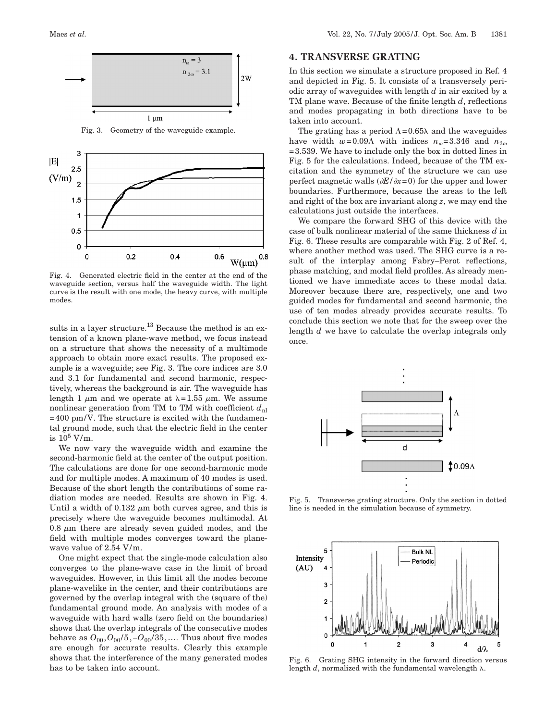

Fig. 3. Geometry of the waveguide example.



Fig. 4. Generated electric field in the center at the end of the waveguide section, versus half the waveguide width. The light curve is the result with one mode, the heavy curve, with multiple modes.

sults in a layer structure.<sup>13</sup> Because the method is an extension of a known plane-wave method, we focus instead on a structure that shows the necessity of a multimode approach to obtain more exact results. The proposed example is a waveguide; see Fig. 3. The core indices are 3.0 and 3.1 for fundamental and second harmonic, respectively, whereas the background is air. The waveguide has length 1  $\mu$ m and we operate at  $\lambda$ =1.55  $\mu$ m. We assume nonlinear generation from TM to TM with coefficient  $d_{nl}$  $=400$  pm/V. The structure is excited with the fundamental ground mode, such that the electric field in the center is  $10^5$  V/m.

We now vary the waveguide width and examine the second-harmonic field at the center of the output position. The calculations are done for one second-harmonic mode and for multiple modes. A maximum of 40 modes is used. Because of the short length the contributions of some radiation modes are needed. Results are shown in Fig. 4. Until a width of 0.132  $\mu$ m both curves agree, and this is precisely where the waveguide becomes multimodal. At 0.8  $\mu$ m there are already seven guided modes, and the field with multiple modes converges toward the planewave value of 2.54 V/m.

One might expect that the single-mode calculation also converges to the plane-wave case in the limit of broad waveguides. However, in this limit all the modes become plane-wavelike in the center, and their contributions are governed by the overlap integral with the (square of the) fundamental ground mode. An analysis with modes of a waveguide with hard walls (zero field on the boundaries) shows that the overlap integrals of the consecutive modes behave as  $O_{00}$ ,  $O_{00}/5$ ,  $-O_{00}/35$ , .... Thus about five modes are enough for accurate results. Clearly this example shows that the interference of the many generated modes has to be taken into account.

## **4. TRANSVERSE GRATING**

In this section we simulate a structure proposed in Ref. 4 and depicted in Fig. 5. It consists of a transversely periodic array of waveguides with length *d* in air excited by a TM plane wave. Because of the finite length *d*, reflections and modes propagating in both directions have to be taken into account.

The grating has a period  $\Lambda$ =0.65 $\lambda$  and the waveguides have width  $w=0.09\text{Å}$  with indices  $n_{\omega}=3.346$  and  $n_{2\omega}$ =3.539. We have to include only the box in dotted lines in Fig. 5 for the calculations. Indeed, because of the TM excitation and the symmetry of the structure we can use perfect magnetic walls  $(\partial E/\partial x=0)$  for the upper and lower boundaries. Furthermore, because the areas to the left and right of the box are invariant along *z*, we may end the calculations just outside the interfaces.

We compare the forward SHG of this device with the case of bulk nonlinear material of the same thickness *d* in Fig. 6. These results are comparable with Fig. 2 of Ref. 4, where another method was used. The SHG curve is a result of the interplay among Fabry–Perot reflections, phase matching, and modal field profiles. As already mentioned we have immediate acces to these modal data. Moreover because there are, respectively, one and two guided modes for fundamental and second harmonic, the use of ten modes already provides accurate results. To conclude this section we note that for the sweep over the length *d* we have to calculate the overlap integrals only once.



Fig. 5. Transverse grating structure. Only the section in dotted line is needed in the simulation because of symmetry.



Fig. 6. Grating SHG intensity in the forward direction versus length  $d$ , normalized with the fundamental wavelength  $\lambda$ .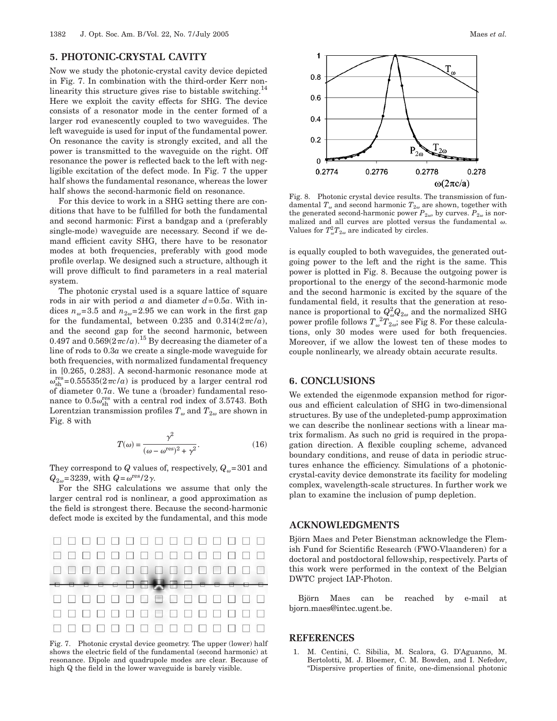## **5. PHOTONIC-CRYSTAL CAVITY**

Now we study the photonic-crystal cavity device depicted in Fig. 7. In combination with the third-order Kerr nonlinearity this structure gives rise to bistable switching.<sup>14</sup> Here we exploit the cavity effects for SHG. The device consists of a resonator mode in the center formed of a larger rod evanescently coupled to two waveguides. The left waveguide is used for input of the fundamental power. On resonance the cavity is strongly excited, and all the power is transmitted to the waveguide on the right. Off resonance the power is reflected back to the left with negligible excitation of the defect mode. In Fig. 7 the upper half shows the fundamental resonance, whereas the lower half shows the second-harmonic field on resonance.

For this device to work in a SHG setting there are conditions that have to be fulfilled for both the fundamental and second harmonic: First a bandgap and a (preferably single-mode) waveguide are necessary. Second if we demand efficient cavity SHG, there have to be resonator modes at both frequencies, preferably with good mode profile overlap. We designed such a structure, although it will prove difficult to find parameters in a real material system.

The photonic crystal used is a square lattice of square rods in air with period  $a$  and diameter  $d=0.5a$ . With indices  $n_{\omega}=3.5$  and  $n_{2\omega}=2.95$  we can work in the first gap for the fundamental, between 0.235 and  $0.314(2\pi c/a)$ , and the second gap for the second harmonic, between 0.497 and  $0.569(2\pi c/a)^{15}$  By decreasing the diameter of a line of rods to 0.3*a* we create a single-mode waveguide for both frequencies, with normalized fundamental frequency in [0.265, 0.283]. A second-harmonic resonance mode at  $\omega_{\rm sh}^{\rm res}$  = 0.55535(2 $\pi c/a$ ) is produced by a larger central rod of diameter 0.7*a*. We tune a (broader) fundamental resonance to  $0.5\omega_{\rm sh}^{\rm res}$  with a central rod index of 3.5743. Both Lorentzian transmission profiles  $T_{\omega}$  and  $T_{2\omega}$  are shown in Fig. 8 with

$$
T(\omega) = \frac{\gamma^2}{(\omega - \omega^{\text{res}})^2 + \gamma^2}.
$$
 (16)

They correspond to *Q* values of, respectively,  $Q_{\omega}=301$  and  $Q_{2\omega}$ =3239, with  $Q = \omega^{\text{res}} / 2\gamma$ .

For the SHG calculations we assume that only the larger central rod is nonlinear, a good approximation as the field is strongest there. Because the second-harmonic defect mode is excited by the fundamental, and this mode



Fig. 7. Photonic crystal device geometry. The upper (lower) half shows the electric field of the fundamental (second harmonic) at resonance. Dipole and quadrupole modes are clear. Because of high Q the field in the lower waveguide is barely visible.



Fig. 8. Photonic crystal device results. The transmission of fundamental  $T_{\omega}$  and second harmonic  $T_{2\omega}$  are shown, together with the generated second-harmonic power  $P_{2\omega}$ , by curves.  $P_{2\omega}$  is normalized and all curves are plotted versus the fundamental  $\omega$ . Values for  $T^2_{\omega}T_{2\omega}$  are indicated by circles.

is equally coupled to both waveguides, the generated outgoing power to the left and the right is the same. This power is plotted in Fig. 8. Because the outgoing power is proportional to the energy of the second-harmonic mode and the second harmonic is excited by the square of the fundamental field, it results that the generation at resonance is proportional to  $Q^2_{\omega} Q_{2\omega}$  and the normalized SHG power profile follows  $T_\omega^{~~2}T_{2\omega}^{~}$ ; see Fig 8. For these calculations, only 30 modes were used for both frequencies. Moreover, if we allow the lowest ten of these modes to couple nonlinearly, we already obtain accurate results.

# **6. CONCLUSIONS**

We extended the eigenmode expansion method for rigorous and efficient calculation of SHG in two-dimensional structures. By use of the undepleted-pump approximation we can describe the nonlinear sections with a linear matrix formalism. As such no grid is required in the propagation direction. A flexible coupling scheme, advanced boundary conditions, and reuse of data in periodic structures enhance the efficiency. Simulations of a photoniccrystal-cavity device demonstrate its facility for modeling complex, wavelength-scale structures. In further work we plan to examine the inclusion of pump depletion.

#### **ACKNOWLEDGMENTS**

Björn Maes and Peter Bienstman acknowledge the Flemish Fund for Scientific Research (FWO-Vlaanderen) for a doctoral and postdoctoral fellowship, respectively. Parts of this work were performed in the context of the Belgian DWTC project IAP-Photon.

Björn Maes can be reached by e-mail at bjorn.maes@intec.ugent.be.

## **REFERENCES**

1. M. Centini, C. Sibilia, M. Scalora, G. D'Aguanno, M. Bertolotti, M. J. Bloemer, C. M. Bowden, and I. Nefedov, "Dispersive properties of finite, one-dimensional photonic